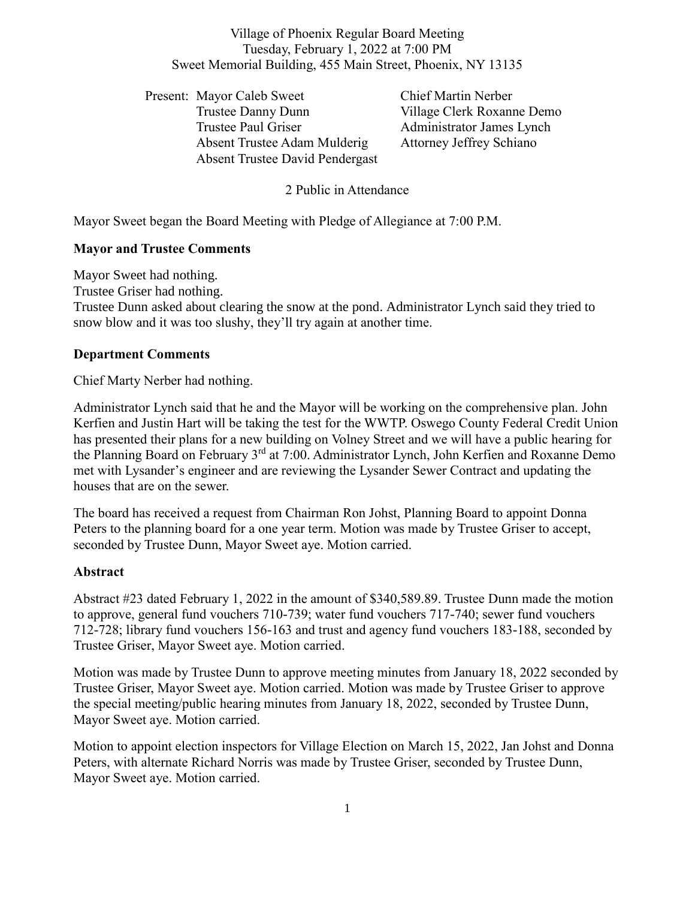Village of Phoenix Regular Board Meeting Tuesday, February 1, 2022 at 7:00 PM Sweet Memorial Building, 455 Main Street, Phoenix, NY 13135

Present: Mayor Caleb Sweet Chief Martin Nerber Trustee Danny Dunn Village Clerk Roxanne Demo Trustee Paul Griser **Administrator James Lynch** Absent Trustee Adam Mulderig Attorney Jeffrey Schiano Absent Trustee David Pendergast

## 2 Public in Attendance

Mayor Sweet began the Board Meeting with Pledge of Allegiance at 7:00 P.M.

### **Mayor and Trustee Comments**

Mayor Sweet had nothing.

Trustee Griser had nothing.

Trustee Dunn asked about clearing the snow at the pond. Administrator Lynch said they tried to snow blow and it was too slushy, they'll try again at another time.

#### **Department Comments**

Chief Marty Nerber had nothing.

Administrator Lynch said that he and the Mayor will be working on the comprehensive plan. John Kerfien and Justin Hart will be taking the test for the WWTP. Oswego County Federal Credit Union has presented their plans for a new building on Volney Street and we will have a public hearing for the Planning Board on February 3<sup>rd</sup> at 7:00. Administrator Lynch, John Kerfien and Roxanne Demo met with Lysander's engineer and are reviewing the Lysander Sewer Contract and updating the houses that are on the sewer.

The board has received a request from Chairman Ron Johst, Planning Board to appoint Donna Peters to the planning board for a one year term. Motion was made by Trustee Griser to accept, seconded by Trustee Dunn, Mayor Sweet aye. Motion carried.

#### **Abstract**

Abstract #23 dated February 1, 2022 in the amount of \$340,589.89. Trustee Dunn made the motion to approve, general fund vouchers 710-739; water fund vouchers 717-740; sewer fund vouchers 712-728; library fund vouchers 156-163 and trust and agency fund vouchers 183-188, seconded by Trustee Griser, Mayor Sweet aye. Motion carried.

Motion was made by Trustee Dunn to approve meeting minutes from January 18, 2022 seconded by Trustee Griser, Mayor Sweet aye. Motion carried. Motion was made by Trustee Griser to approve the special meeting/public hearing minutes from January 18, 2022, seconded by Trustee Dunn, Mayor Sweet aye. Motion carried.

Motion to appoint election inspectors for Village Election on March 15, 2022, Jan Johst and Donna Peters, with alternate Richard Norris was made by Trustee Griser, seconded by Trustee Dunn, Mayor Sweet aye. Motion carried.